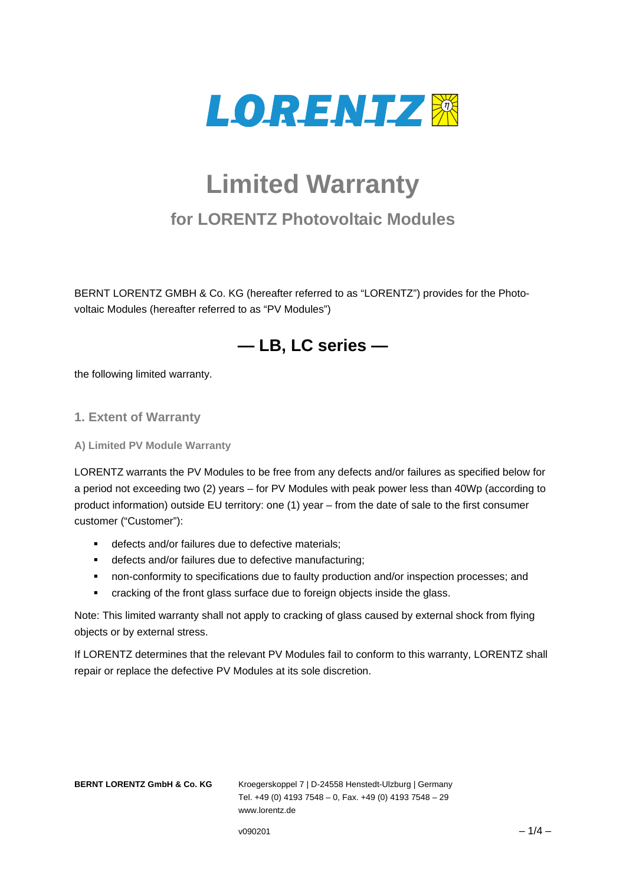

# **Limited Warranty**

# **for LORENTZ Photovoltaic Modules**

BERNT LORENTZ GMBH & Co. KG (hereafter referred to as "LORENTZ") provides for the Photovoltaic Modules (hereafter referred to as "PV Modules")



the following limited warranty.

#### **1. Extent of Warranty**

**A) Limited PV Module Warranty** 

LORENTZ warrants the PV Modules to be free from any defects and/or failures as specified below for a period not exceeding two (2) years – for PV Modules with peak power less than 40Wp (according to product information) outside EU territory: one (1) year – from the date of sale to the first consumer customer ("Customer"):

- defects and/or failures due to defective materials;
- defects and/or failures due to defective manufacturing;
- non-conformity to specifications due to faulty production and/or inspection processes; and
- **EXECTE 2015** Cracking of the front glass surface due to foreign objects inside the glass.

Note: This limited warranty shall not apply to cracking of glass caused by external shock from flying objects or by external stress.

If LORENTZ determines that the relevant PV Modules fail to conform to this warranty, LORENTZ shall repair or replace the defective PV Modules at its sole discretion.

**BERNT LORENTZ GmbH & Co. KG** Kroegerskoppel 7 | D-24558 Henstedt-Ulzburg | Germany Tel. +49 (0) 4193 7548 – 0, Fax. +49 (0) 4193 7548 – 29 www.lorentz.de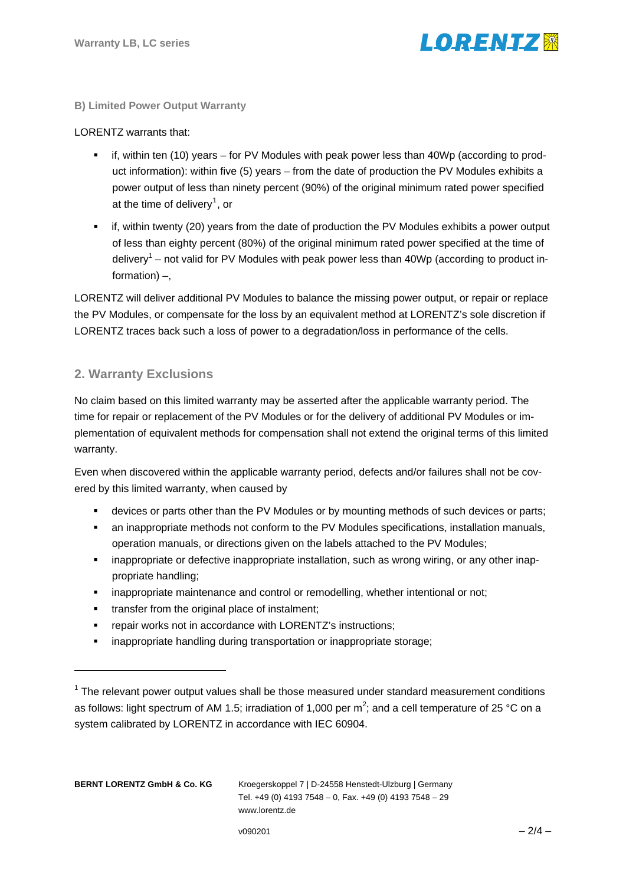

#### **B) Limited Power Output Warranty**

#### LORENTZ warrants that:

- if, within ten (10) years for PV Modules with peak power less than 40Wp (according to product information): within five (5) years – from the date of production the PV Modules exhibits a power output of less than ninety percent (90%) of the original minimum rated power specified at the time of delivery<sup>[1](#page-1-0)</sup>, or
- if, within twenty (20) years from the date of production the PV Modules exhibits a power output of less than eighty percent (80%) of the original minimum rated power specified at the time of delivery<sup>1</sup> – not valid for PV Modules with peak power less than 40Wp (according to product information) –,

LORENTZ will deliver additional PV Modules to balance the missing power output, or repair or replace the PV Modules, or compensate for the loss by an equivalent method at LORENTZ's sole discretion if LORENTZ traces back such a loss of power to a degradation/loss in performance of the cells.

# **2. Warranty Exclusions**

No claim based on this limited warranty may be asserted after the applicable warranty period. The time for repair or replacement of the PV Modules or for the delivery of additional PV Modules or implementation of equivalent methods for compensation shall not extend the original terms of this limited warranty.

Even when discovered within the applicable warranty period, defects and/or failures shall not be covered by this limited warranty, when caused by

- devices or parts other than the PV Modules or by mounting methods of such devices or parts;
- an inappropriate methods not conform to the PV Modules specifications, installation manuals, operation manuals, or directions given on the labels attached to the PV Modules;
- inappropriate or defective inappropriate installation, such as wrong wiring, or any other inappropriate handling;
- inappropriate maintenance and control or remodelling, whether intentional or not;
- **transfer from the original place of instalment;**
- repair works not in accordance with LORENTZ's instructions;
- **EXEDEE FINA** inappropriate handling during transportation or inappropriate storage;

1

<span id="page-1-0"></span> $1$  The relevant power output values shall be those measured under standard measurement conditions as follows: light spectrum of AM 1.5; irradiation of 1,000 per m<sup>2</sup>; and a cell temperature of 25 °C on a system calibrated by LORENTZ in accordance with IEC 60904.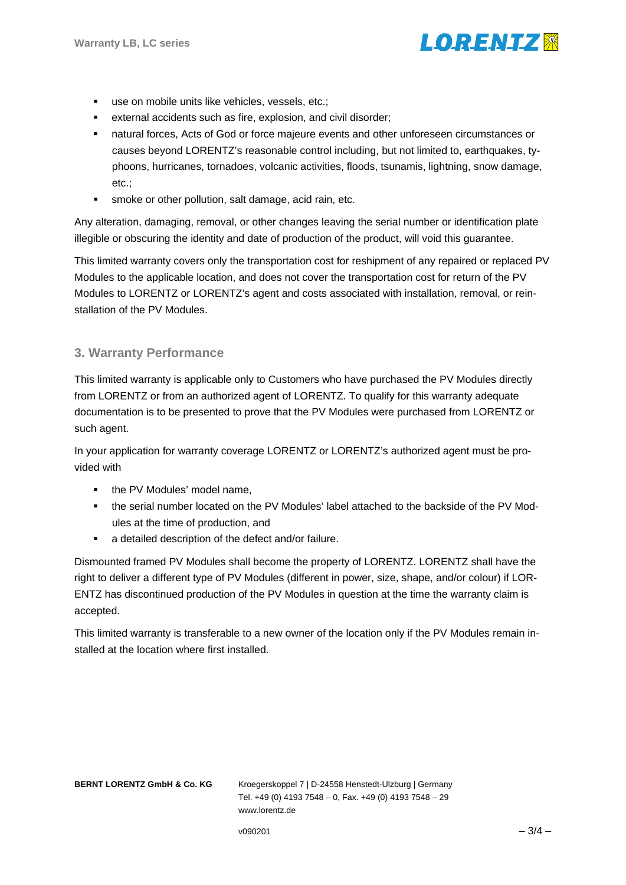

- use on mobile units like vehicles, vessels, etc.;
- external accidents such as fire, explosion, and civil disorder;
- natural forces, Acts of God or force majeure events and other unforeseen circumstances or causes beyond LORENTZ's reasonable control including, but not limited to, earthquakes, typhoons, hurricanes, tornadoes, volcanic activities, floods, tsunamis, lightning, snow damage, etc.;
- **smoke or other pollution, salt damage, acid rain, etc.**

Any alteration, damaging, removal, or other changes leaving the serial number or identification plate illegible or obscuring the identity and date of production of the product, will void this guarantee.

This limited warranty covers only the transportation cost for reshipment of any repaired or replaced PV Modules to the applicable location, and does not cover the transportation cost for return of the PV Modules to LORENTZ or LORENTZ's agent and costs associated with installation, removal, or reinstallation of the PV Modules.

# **3. Warranty Performance**

This limited warranty is applicable only to Customers who have purchased the PV Modules directly from LORENTZ or from an authorized agent of LORENTZ. To qualify for this warranty adequate documentation is to be presented to prove that the PV Modules were purchased from LORENTZ or such agent.

In your application for warranty coverage LORENTZ or LORENTZ's authorized agent must be provided with

- the PV Modules' model name.
- the serial number located on the PV Modules' label attached to the backside of the PV Modules at the time of production, and
- a detailed description of the defect and/or failure.

Dismounted framed PV Modules shall become the property of LORENTZ. LORENTZ shall have the right to deliver a different type of PV Modules (different in power, size, shape, and/or colour) if LOR-ENTZ has discontinued production of the PV Modules in question at the time the warranty claim is accepted.

This limited warranty is transferable to a new owner of the location only if the PV Modules remain installed at the location where first installed.